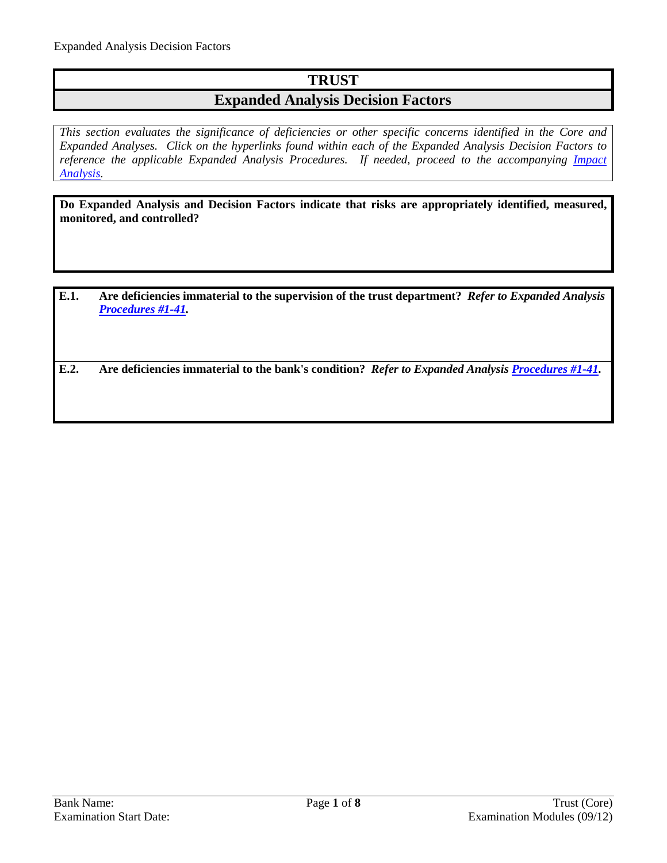## **TRUST**

### **Expanded Analysis Decision Factors**

*This section evaluates the significance of deficiencies or other specific concerns identified in the Core and Expanded Analyses. Click on the hyperlinks found within each of the Expanded Analysis Decision Factors to reference the applicable Expanded Analysis Procedures. If needed, proceed to the accompanying Impact [Analysis.](#page-6-0)*

**Do Expanded Analysis and Decision Factors indicate that risks are appropriately identified, measured, monitored, and controlled?**

**E.1. Are deficiencies immaterial to the supervision of the trust department?** *Refer to Expanded Analysis [Procedures #1-41.](#page-1-0)*

**E.2. Are deficiencies immaterial to the bank's condition?** *Refer to Expanded Analysis [Procedures #1-41.](#page-1-0)*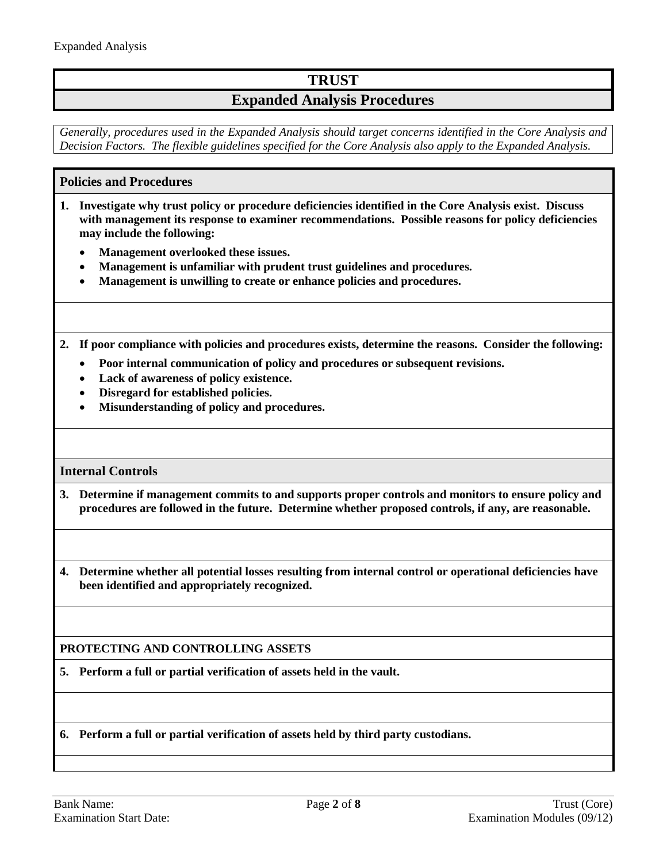## **TRUST**

### **Expanded Analysis Procedures**

*Generally, procedures used in the Expanded Analysis should target concerns identified in the Core Analysis and Decision Factors. The flexible guidelines specified for the Core Analysis also apply to the Expanded Analysis.*

#### <span id="page-1-0"></span>**Policies and Procedures**

- **1. Investigate why trust policy or procedure deficiencies identified in the Core Analysis exist. Discuss with management its response to examiner recommendations. Possible reasons for policy deficiencies may include the following:**
	- **Management overlooked these issues.**
	- **Management is unfamiliar with prudent trust guidelines and procedures.**
	- **Management is unwilling to create or enhance policies and procedures.**

**2. If poor compliance with policies and procedures exists, determine the reasons. Consider the following:**

- **Poor internal communication of policy and procedures or subsequent revisions.**
- **Lack of awareness of policy existence.**
- **Disregard for established policies.**
- **Misunderstanding of policy and procedures.**

#### **Internal Controls**

- **3. Determine if management commits to and supports proper controls and monitors to ensure policy and procedures are followed in the future. Determine whether proposed controls, if any, are reasonable.**
- **4. Determine whether all potential losses resulting from internal control or operational deficiencies have been identified and appropriately recognized.**

#### **PROTECTING AND CONTROLLING ASSETS**

**5. Perform a full or partial verification of assets held in the vault.**

**6. Perform a full or partial verification of assets held by third party custodians.**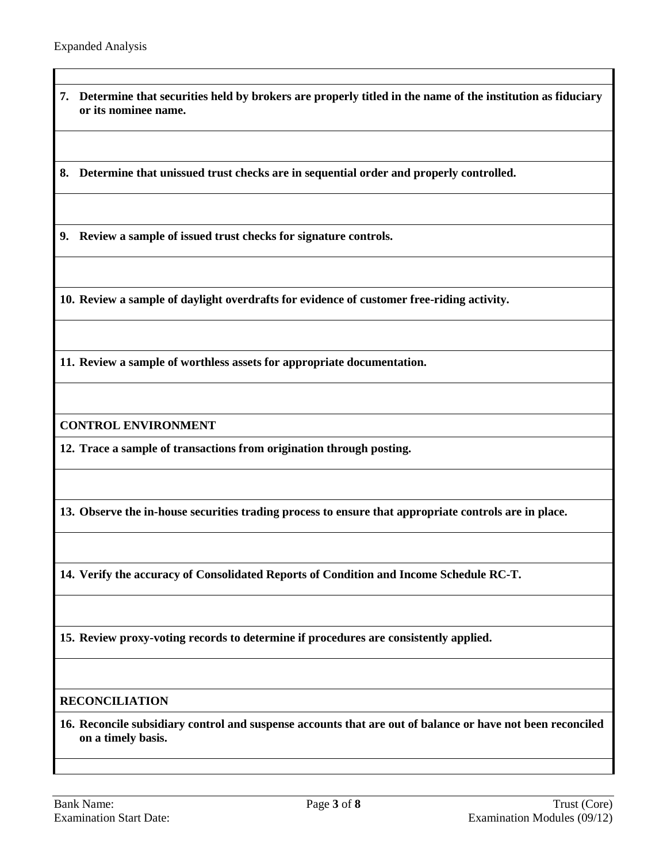**7. Determine that securities held by brokers are properly titled in the name of the institution as fiduciary or its nominee name.**

**8. Determine that unissued trust checks are in sequential order and properly controlled.**

**9. Review a sample of issued trust checks for signature controls.**

**10. Review a sample of daylight overdrafts for evidence of customer free-riding activity.**

**11. Review a sample of worthless assets for appropriate documentation.**

**CONTROL ENVIRONMENT**

**12. Trace a sample of transactions from origination through posting.**

**13. Observe the in-house securities trading process to ensure that appropriate controls are in place.**

**14. Verify the accuracy of Consolidated Reports of Condition and Income Schedule RC-T.**

**15. Review proxy-voting records to determine if procedures are consistently applied.**

#### **RECONCILIATION**

**16. Reconcile subsidiary control and suspense accounts that are out of balance or have not been reconciled on a timely basis.**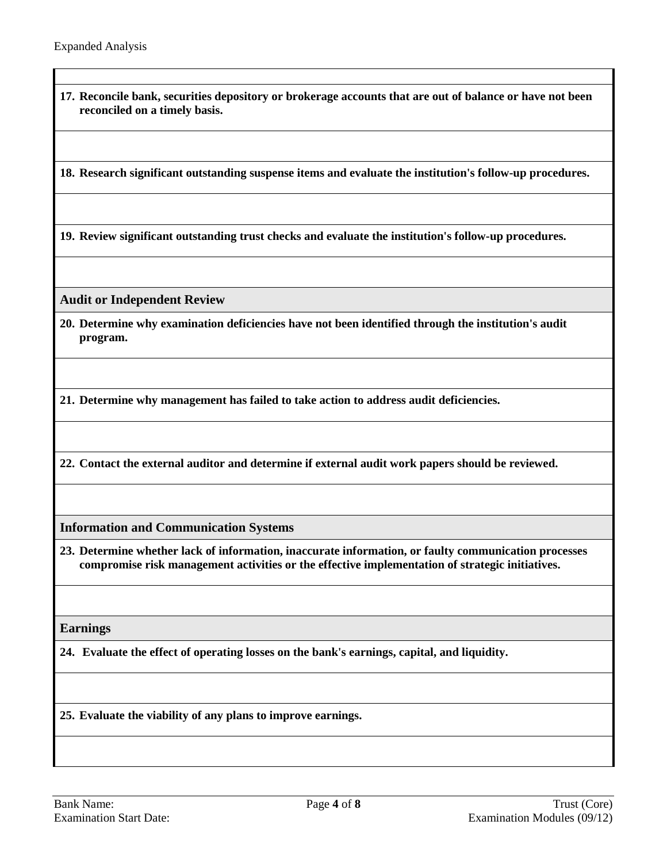**17. Reconcile bank, securities depository or brokerage accounts that are out of balance or have not been reconciled on a timely basis.**

**18. Research significant outstanding suspense items and evaluate the institution's follow-up procedures.**

**19. Review significant outstanding trust checks and evaluate the institution's follow-up procedures.**

**Audit or Independent Review**

**20. Determine why examination deficiencies have not been identified through the institution's audit program.**

**21. Determine why management has failed to take action to address audit deficiencies.**

**22. Contact the external auditor and determine if external audit work papers should be reviewed.**

**Information and Communication Systems**

**23. Determine whether lack of information, inaccurate information, or faulty communication processes compromise risk management activities or the effective implementation of strategic initiatives.**

**Earnings**

**24. Evaluate the effect of operating losses on the bank's earnings, capital, and liquidity.**

**25. Evaluate the viability of any plans to improve earnings.**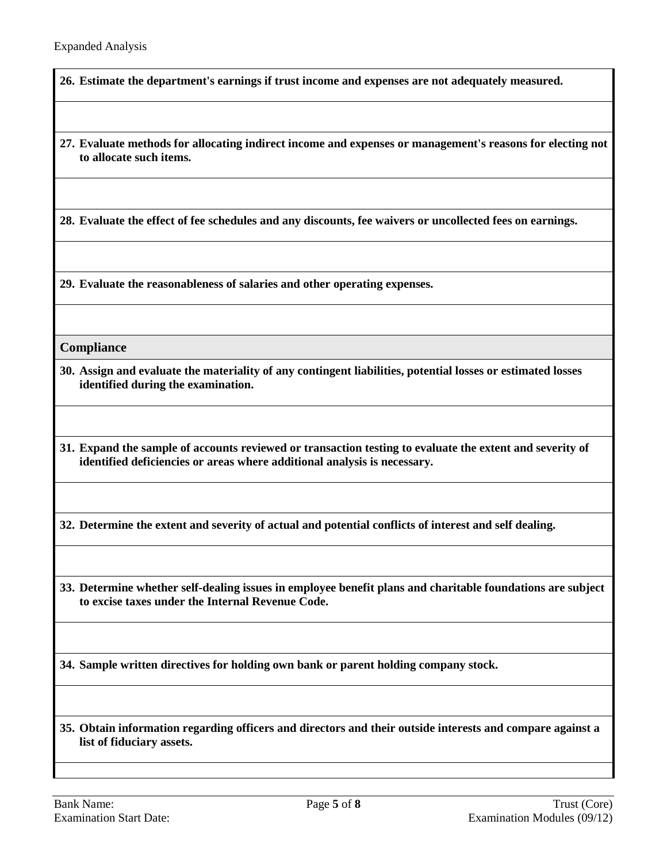**26. Estimate the department's earnings if trust income and expenses are not adequately measured.**

**27. Evaluate methods for allocating indirect income and expenses or management's reasons for electing not to allocate such items.**

**28. Evaluate the effect of fee schedules and any discounts, fee waivers or uncollected fees on earnings.**

**29. Evaluate the reasonableness of salaries and other operating expenses.**

#### **Compliance**

- **30. Assign and evaluate the materiality of any contingent liabilities, potential losses or estimated losses identified during the examination.**
- **31. Expand the sample of accounts reviewed or transaction testing to evaluate the extent and severity of identified deficiencies or areas where additional analysis is necessary.**

**32. Determine the extent and severity of actual and potential conflicts of interest and self dealing.**

**33. Determine whether self-dealing issues in employee benefit plans and charitable foundations are subject to excise taxes under the Internal Revenue Code.**

**34. Sample written directives for holding own bank or parent holding company stock.**

**35. Obtain information regarding officers and directors and their outside interests and compare against a list of fiduciary assets.**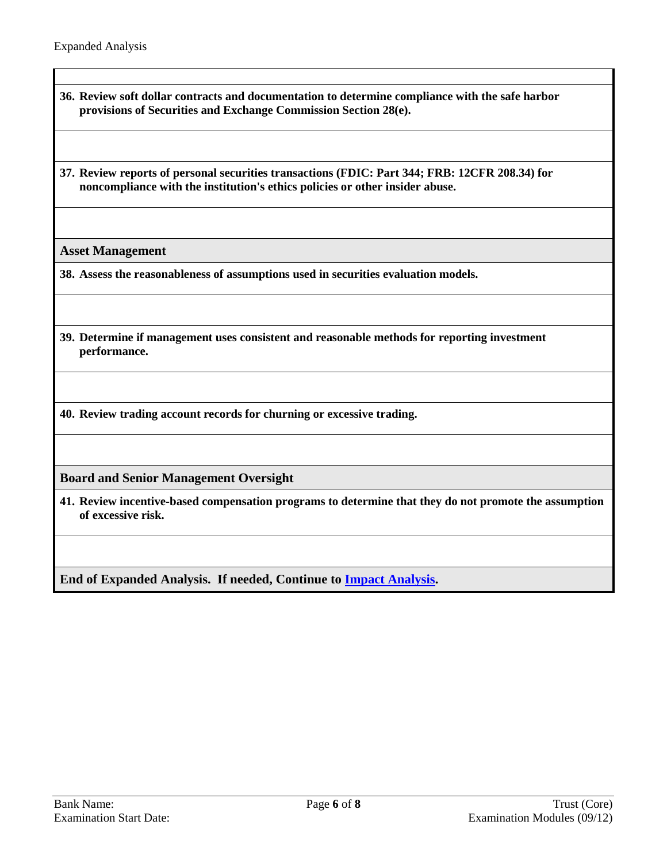- **36. Review soft dollar contracts and documentation to determine compliance with the safe harbor provisions of Securities and Exchange Commission Section 28(e).**
- **37. Review reports of personal securities transactions (FDIC: Part 344; FRB: 12CFR 208.34) for noncompliance with the institution's ethics policies or other insider abuse.**

**Asset Management**

**38. Assess the reasonableness of assumptions used in securities evaluation models.**

**39. Determine if management uses consistent and reasonable methods for reporting investment performance.**

**40. Review trading account records for churning or excessive trading.**

**Board and Senior Management Oversight**

**41. Review incentive-based compensation programs to determine that they do not promote the assumption of excessive risk.**

**End of Expanded Analysis. If needed, Continue to [Impact Analysis.](#page-6-0)**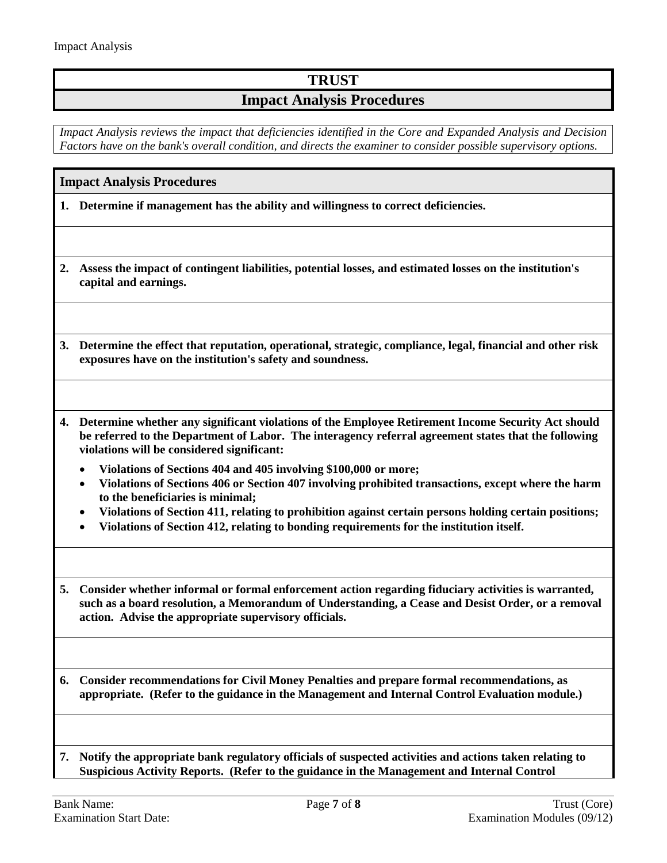# **TRUST**

### **Impact Analysis Procedures**

*Impact Analysis reviews the impact that deficiencies identified in the Core and Expanded Analysis and Decision Factors have on the bank's overall condition, and directs the examiner to consider possible supervisory options.*

#### <span id="page-6-0"></span>**Impact Analysis Procedures**

**1. Determine if management has the ability and willingness to correct deficiencies.**

- **2. Assess the impact of contingent liabilities, potential losses, and estimated losses on the institution's capital and earnings.**
- **3. Determine the effect that reputation, operational, strategic, compliance, legal, financial and other risk exposures have on the institution's safety and soundness.**
- **4. Determine whether any significant violations of the Employee Retirement Income Security Act should be referred to the Department of Labor. The interagency referral agreement states that the following violations will be considered significant:**
	- **Violations of Sections 404 and 405 involving \$100,000 or more;**
	- **Violations of Sections 406 or Section 407 involving prohibited transactions, except where the harm to the beneficiaries is minimal;**
	- **Violations of Section 411, relating to prohibition against certain persons holding certain positions;**
	- **Violations of Section 412, relating to bonding requirements for the institution itself.**
- **5. Consider whether informal or formal enforcement action regarding fiduciary activities is warranted, such as a board resolution, a Memorandum of Understanding, a Cease and Desist Order, or a removal action. Advise the appropriate supervisory officials.**

**6. Consider recommendations for Civil Money Penalties and prepare formal recommendations, as appropriate. (Refer to the guidance in the Management and Internal Control Evaluation module.)**

**7. Notify the appropriate bank regulatory officials of suspected activities and actions taken relating to Suspicious Activity Reports. (Refer to the guidance in the Management and Internal Control**